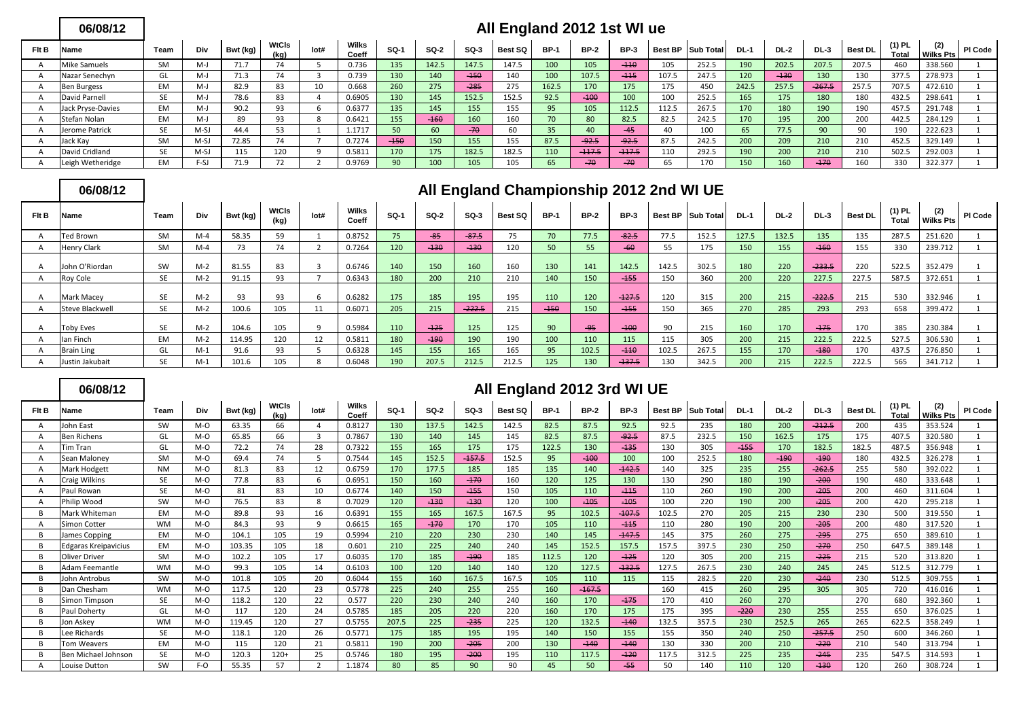|       | All England 2012 1st WI ue<br>06/08/12 |           |        |          |               |      |                |             |             |        |                                         |             |             |             |       |                   |             |        |          |                |                        |                         |                |
|-------|----------------------------------------|-----------|--------|----------|---------------|------|----------------|-------------|-------------|--------|-----------------------------------------|-------------|-------------|-------------|-------|-------------------|-------------|--------|----------|----------------|------------------------|-------------------------|----------------|
| Fit B | Name                                   | Team      | Div    | Bwt (kg) | WtCls<br>(ka) | lot# | Wilks<br>Coeff | <b>SQ-1</b> | <b>SQ-2</b> | $SO-3$ | Best SQ                                 | <b>BP-1</b> | <b>BP-2</b> | <b>BP-3</b> |       | Best BP Sub Total | <b>DL-1</b> | $DL-2$ | $DL-3$   | <b>Best DL</b> | (1) PL<br><b>Total</b> | (2)<br><b>Wilks Pts</b> | <b>PI Code</b> |
|       | <b>Mike Samuels</b>                    | SM        | $M-J$  | 71.7     |               |      | 0.736          | 135         | 142.5       | 147.5  | 147.5                                   | 100         | 105         | $-110$      | 105   | 252.5             | 190         | 202.5  | 207.5    | 207.5          | 460                    | 338.560                 |                |
|       | Nazar Senechyn                         | GL        | $M-J$  | 71.3     | 74            |      | 0.739          | 130         | 140         | $-150$ | 140                                     | 100         | 107.5       | $-115$      | 107.5 | 247.5             | 120         | $-130$ | 130      | 130            | 377.5                  | 278.973                 |                |
|       | <b>Ben Burgess</b>                     | <b>EM</b> | $M-J$  | 82.9     | 83            | 10   | 0.668          | 260         | 275         | $-285$ | 275                                     | 162.5       | 170         | 175         | 175   | 450               | 242.5       | 257.5  | $-267.5$ | 257.5          | 707.5                  | 472.610                 |                |
|       | David Parnell                          | SE        | $M-J$  | 78.6     | 83            |      | 0.6905         | 130         | 145         | 152.5  | 152.5                                   | 92.5        | $-100$      | 100         | 100   | 252.5             | 165         | 175    | 180      | 180            | 432.5                  | 298.641                 |                |
|       | Jack Pryse-Davies                      | <b>EM</b> | $M-J$  | 90.2     | 93            |      | 0.6377         | 135         | 145         | 155    | 155                                     | 95          | 105         | 112.5       | 112.5 | 267.5             | 170         | 180    | 190      | 190            | 457.5                  | 291.748                 |                |
|       | Stefan Nolan                           | <b>EM</b> | M-J    | 89       | 93            |      | 0.6421         | 155         | $-160$      | 160    | 160                                     | 70          | 80          | 82.5        | 82.5  | 242.5             | 170         | 195    | 200      | 200            | 442.5                  | 284.129                 |                |
|       | Jerome Patrick                         | SE        | $M-SJ$ | 44.4     | 53            |      | 1.1717         | 50          | 60          | $-70$  | -60                                     | 35          | 40          | $-45$       | 40    | 100               | 65          | 77.5   | 90       | 90             | 190                    | 222.623                 |                |
|       | Jack Kay                               | <b>SM</b> | $M-SJ$ | 72.85    | 74            |      | 0.7274         | $-150$      | 150         | 155    | 155                                     | 87.5        | $-92.5$     | $-92.5$     | 87.5  | 242.5             | 200         | 209    | 210      | 210            | 452.5                  | 329.149                 |                |
|       | David Cridland                         | <b>SE</b> | $M-SJ$ | 115      | 120           |      | 0.5811         | 170         | 175         | 182.5  | 182.5                                   | 110         | $-117.5$    | $-117.5$    | 110   | 292.5             | 190         | 200    | 210      | 210            | 502.5                  | 292.003                 |                |
|       | Leigh Wetheridge                       | EM        | F-SJ   | 71.9     | 72            |      | 0.9769         | 90          | 100         | 105    | 105                                     | 65          | $-70$       | $-70$       | 65    | 170               | 150         | 160    | $-170$   | 160            | 330                    | 322.377                 |                |
|       | 06/08/12                               |           |        |          |               |      |                |             |             |        | All England Championship 2012 2nd WI UE |             |             |             |       |                   |             |        |          |                |                        |                         |                |

|                |                    |           |       |          |               |      |                |        |             | ີ        |         |             |             |             |       |                   |             |        |          |                |                 |                         |                |
|----------------|--------------------|-----------|-------|----------|---------------|------|----------------|--------|-------------|----------|---------|-------------|-------------|-------------|-------|-------------------|-------------|--------|----------|----------------|-----------------|-------------------------|----------------|
| Fit B          | Name               | Team      | Div   | Bwt (kg) | WtCls<br>(kg) | lot# | Wilks<br>Coeff | $SO-1$ | <b>SQ-2</b> | $SO-3$   | Best SQ | <b>BP-1</b> | <b>BP-2</b> | <b>BP-3</b> |       | Best BP Sub Total | <b>DL-1</b> | $DL-2$ | $DL-3$   | <b>Best DL</b> | (1) PL<br>Total | (2)<br><b>Wilks Pts</b> | <b>PI Code</b> |
|                | <b>Ted Brown</b>   | <b>SM</b> | $M-4$ | 58.35    | 59            |      | 0.8752         | 75     | $-85$       | $-87.5$  | 75      | 70          | 77.5        | $-82.5$     | 77.5  | 152.5             | 127.5       | 132.5  | 135      | 135            | 287.5           | 251.620                 |                |
| $\overline{A}$ | <b>Henry Clark</b> | <b>SM</b> | $M-4$ | 73       | 74            |      | 0.7264         | 120    | $-130$      | $-130$   | 120     | 50          | 55          | $-60$       | 55    | 175               | 150         | 155    | $-160$   | 155            | 330             | 239.712                 |                |
| $\overline{a}$ | John O'Riordan     | SW        | $M-2$ | 81.55    | 83            |      | 0.6746         | 140    | 150         | 160      | 160     | 130         | 141         | 142.5       | 142.5 | 302.5             | 180         | 220    | $-233.5$ | 220            | 522.5           | 352.479                 |                |
| $\mathsf{A}$   | Roy Cole           | SE        | $M-2$ | 91.15    | 93            |      | 0.6343         | 180    | 200         | 210      | 210     | 140         | 150         | $-155$      | 150   | 360               | 200         | 220    | 227.5    | 227.5          | 587.5           | 372.651                 |                |
| $\overline{A}$ | Mark Macey         | SE        | M-2   | 93       | 93            |      | 0.6282         | 175    | 185         | 195      | 195     | 110         | 120         | $-127.5$    | 120   | 315               | 200         | 215    | $-222.5$ | 215            | 530             | 332.946                 |                |
| $\mathsf{H}$   | Steve Blackwell    | SE        | $M-2$ | 100.6    | 105           | 11   | 0.6071         | 205    | 215         | $-222.5$ | 215     | $-150$      | 150         | $-155$      | 150   | 365               | 270         | 285    | 293      | 293            | 658             | 399.472                 |                |
|                | <b>Toby Eves</b>   |           | $M-2$ | 104.6    | 105           |      | 0.5984         | 110    | $-125$      | 125      | 125     | 90          | $-95$       | $-100$      | 90    | 215               | 160         | 170    | $-175$   | 170            | 385             | 230.384                 |                |
|                | lan Finch          | EM        | $M-2$ | 114.95   | 120           | 12   | 0.5811         | 180    | $-190$      | 190      | 190     | 100         | 110         | 115         | 115   | 305               | 200         | 215    | 222.5    | 222.5          | 527.5           | 306.530                 |                |
|                | <b>Brain Ling</b>  | GL        | $M-1$ | 91.6     | 93            |      | 0.6328         | 145    | 155         | 165      | 165     | 95          | 102.5       | $-110$      | 102.5 | 267.5             | 155         | 170    | $-180$   | 170            | 437.5           | 276.850                 |                |
|                | Justin Jakubait    | SE        | $M-1$ | 101.6    | 105           |      | 0.6048         | 190    | 207.5       | 212.5    | 212.5   | 125         | 130         | $-137.5$    | 130   | 342.5             | 200         | 215    | 222.5    | 222.5          | 565             | 341.712                 |                |

|       | 06/08/12             |           |       |          |                      |      |                |             |             |          | All England 2012 3rd WI UE |             |             |             |                |           |        |        |          |                |                   |                         |         |
|-------|----------------------|-----------|-------|----------|----------------------|------|----------------|-------------|-------------|----------|----------------------------|-------------|-------------|-------------|----------------|-----------|--------|--------|----------|----------------|-------------------|-------------------------|---------|
| Fit B | Name                 | Team      | Div   | Bwt (kg) | <b>WtCIs</b><br>(ka) | lot# | Wilks<br>Coeff | <b>SQ-1</b> | <b>SQ-2</b> | $SO-3$   | Best SQ                    | <b>BP-1</b> | <b>BP-2</b> | <b>BP-3</b> | <b>Best BP</b> | Sub Total | DL-1   | $DL-2$ | $DL-3$   | <b>Best DL</b> | $(1)$ PL<br>Total | (2)<br><b>Wilks Pts</b> | PI Code |
|       | John East            | <b>SW</b> | $M-O$ | 63.35    | 66                   |      | 0.8127         | 130         | 137.5       | 142.5    | 142.5                      | 82.5        | 87.5        | 92.5        | 92.5           | 235       | 180    | 200    | $-212.5$ | 200            | 435               | 353.524                 |         |
|       | <b>Ben Richens</b>   | GL        | M-O   | 65.85    | 66                   |      | 0.7867         | 130         | 140         | 145      | 145                        | 82.5        | 87.5        | $-92.5$     | 87.5           | 232.5     | 150    | 162.5  | 175      | 175            | 407.5             | 320.580                 |         |
|       | <b>Tim Tran</b>      | GL        | $M-O$ | 72.2     | 74                   | 28   | 0.7322         | 155         | 165         | 175      | 175                        | 122.5       | 130         | $-135$      | 130            | 305       | $-155$ | 170    | 182.5    | 182.5          | 487.5             | 356.948                 |         |
|       | Sean Maloney         | <b>SM</b> | $M-O$ | 69.4     | 74                   |      | 0.7544         | 145         | 152.5       | $-157.5$ | 152.5                      | 95          | $-100$      | 100         | 100            | 252.5     | 180    | $-190$ | $-190$   | 180            | 432.5             | 326.278                 |         |
|       | Mark Hodgett         | <b>NM</b> | $M-O$ | 81.3     | 83                   | 12   | 0.6759         | 170         | 177.5       | 185      | 185                        | 135         | 140         | $-142.5$    | 140            | 325       | 235    | 255    | $-262.5$ | 255            | 580               | 392.022                 |         |
|       | <b>Craig Wilkins</b> | <b>SE</b> | $M-O$ | 77.8     | 83                   |      | 0.6951         | 150         | 160         | $-170$   | 160                        | 120         | 125         | 130         | 130            | 290       | 180    | 190    | $-200$   | 190            | 480               | 333.648                 |         |
|       | Paul Rowan           | <b>SE</b> | $M-O$ | 81       | 83                   | 10   | 0.6774         | 140         | 150         | $-155$   | 150                        | 105         | 110         | $-115$      | 110            | 260       | 190    | 200    | $-205$   | 200            | 460               | 311.604                 |         |
|       | Philip Wood          | <b>SW</b> | $M-O$ | 76.5     | 83                   | я    | 0.7029         | 120         | $-130$      | $-130$   | 120                        | 100         | $-105$      | $-105$      | 100            | 220       | 190    | 200    | $-205$   | 200            | 420               | 295.218                 |         |
| B.    | Mark Whiteman        | EM        | $M-O$ | 89.8     | 93                   | 16   | 0.6391         | 155         | 165         | 167.5    | 167.5                      | 95          | 102.5       | $-107.5$    | 102.5          | 270       | 205    | 215    | 230      | 230            | 500               | 319.550                 |         |
|       | Simon Cotter         | <b>WM</b> | $M-O$ | 84.3     | 93                   |      | 0.6615         | 165         | $-170$      | 170      | 170                        | 105         | 110         | $-115$      | 110            | 280       | 190    | 200    | $-205$   | 200            | 480               | 317.520                 |         |
| B.    | James Copping        | EM        | $M-O$ | 104.1    | 105                  | 19   | 0.5994         | 210         | 220         | 230      | 230                        | 140         | 145         | $-147.5$    | 145            | 375       | 260    | 275    | $-295$   | 275            | 650               | 389.610                 |         |
|       | Edgaras Kreipavicius | EM        | $M-O$ | 103.35   | 105                  | 18   | 0.601          | 210         | 225         | 240      | 240                        | 145         | 152.5       | 157.5       | 157.5          | 397.5     | 230    | 250    | $-270$   | 250            | 647.5             | 389.148                 |         |
|       | <b>Oliver Driver</b> | <b>SM</b> | $M-O$ | 102.2    | 105                  | 17   | 0.6035         | 170         | 185         | $-190$   | 185                        | 112.5       | 120         | $-125$      | 120            | 305       | 200    | 215    | $-225$   | 215            | 520               | 313.820                 |         |
|       | Adam Feemantle       | <b>WM</b> | $M-O$ | 99.3     | 105                  | 14   | 0.6103         | 100         | 120         | 140      | 140                        | 120         | 127.5       | $-132.5$    | 127.5          | 267.5     | 230    | 240    | 245      | 245            | 512.5             | 312.779                 |         |
| B     | John Antrobus        | <b>SW</b> | $M-O$ | 101.8    | 105                  | 20   | 0.6044         | 155         | 160         | 167.5    | 167.5                      | 105         | 110         | 115         | 115            | 282.5     | 220    | 230    | $-240$   | 230            | 512.5             | 309.755                 |         |
| B     | Dan Chesham          | <b>WM</b> | $M-O$ | 117.5    | 120                  | 23   | 0.5778         | 225         | 240         | 255      | 255                        | 160         | $-167.5$    |             | 160            | 415       | 260    | 295    | 305      | 305            | 720               | 416.016                 |         |
| B.    | Simon Timpson        | <b>SE</b> | $M-O$ | 118.2    | 120                  | 22   | 0.577          | 220         | 230         | 240      | 240                        | 160         | 170         | $-175$      | 170            | 410       | 260    | 270    |          | 270            | 680               | 392.360                 |         |
| B     | Paul Doherty         | GL        | M-O   | 117      | 120                  | 24   | 0.5785         | 185         | 205         | 220      | 220                        | 160         | 170         | 175         | 175            | 395       | $-220$ | 230    | 255      | 255            | 650               | 376.025                 |         |
| B.    | Jon Askev            | <b>WM</b> | $M-O$ | 119.45   | 120                  | 27   | 0.5755         | 207.5       | 225         | $-235$   | 225                        | 120         | 132.5       | $-140$      | 132.5          | 357.5     | 230    | 252.5  | 265      | 265            | 622.5             | 358.249                 |         |
| B     | Lee Richards         | <b>SE</b> | $M-O$ | 118.1    | 120                  | 26   | 0.5771         | 175         | 185         | 195      | 195                        | 140         | 150         | 155         | 155            | 350       | 240    | 250    | $-257.5$ | 250            | 600               | 346.260                 |         |
|       | Tom Weavers          | EM        | $M-O$ | 115      | 120                  | 21   | 0.5811         | 190         | 200         | $-205$   | 200                        | 130         | $-140$      | $-140$      | 130            | 330       | 200    | 210    | $-220$   | 210            | 540               | 313.794                 |         |
|       | Ben Michael Johnson  | <b>SE</b> | $M-O$ | 120.3    | $120+$               | 25   | 0.5746         | 180         | 195         | $-200$   | 195                        | 110         | 117.5       | $-120$      | 117.5          | 312.5     | 225    | 235    | $-245$   | 235            | 547.5             | 314.593                 |         |
|       | Louise Duttor        | SW        | F-O   | 55.35    | 57                   |      | 1.1874         | 80          | 85          | 90       | 90                         | 45          | 50          | -55         | 50             | 140       | 110    | 120    | $-130$   | 120            | 260               | 308.724                 |         |